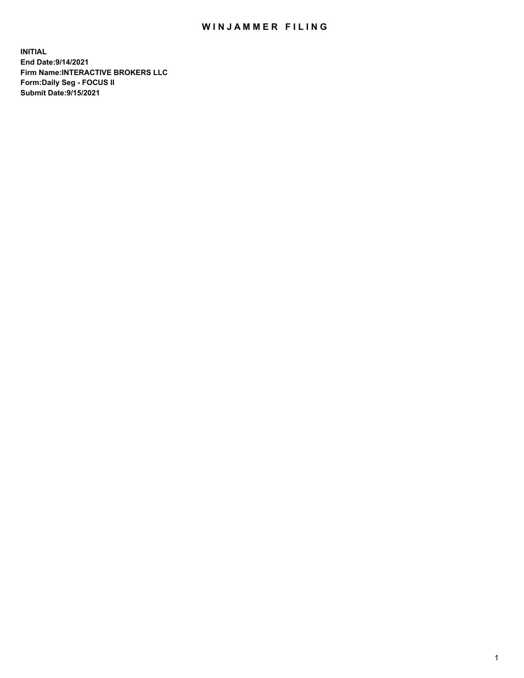## WIN JAMMER FILING

**INITIAL End Date:9/14/2021 Firm Name:INTERACTIVE BROKERS LLC Form:Daily Seg - FOCUS II Submit Date:9/15/2021**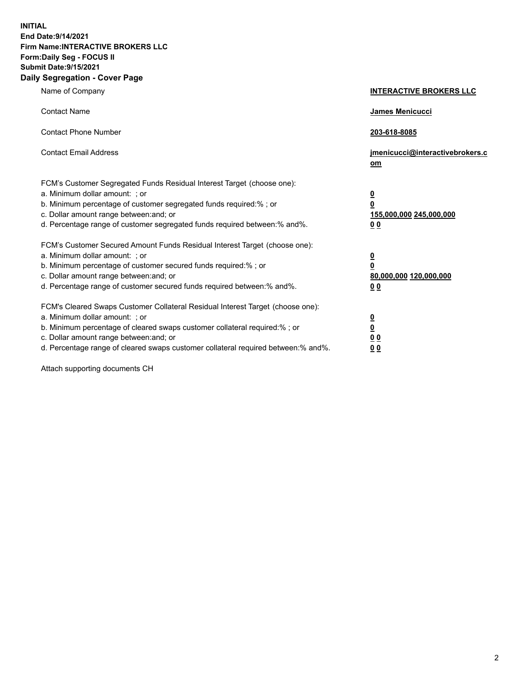**INITIAL End Date:9/14/2021 Firm Name:INTERACTIVE BROKERS LLC Form:Daily Seg - FOCUS II Submit Date:9/15/2021 Daily Segregation - Cover Page**

| Name of Company                                                                                                                                                                                                                                                                                                                | <b>INTERACTIVE BROKERS LLC</b>                                                                  |  |
|--------------------------------------------------------------------------------------------------------------------------------------------------------------------------------------------------------------------------------------------------------------------------------------------------------------------------------|-------------------------------------------------------------------------------------------------|--|
| <b>Contact Name</b>                                                                                                                                                                                                                                                                                                            | <b>James Menicucci</b>                                                                          |  |
| <b>Contact Phone Number</b>                                                                                                                                                                                                                                                                                                    | 203-618-8085                                                                                    |  |
| <b>Contact Email Address</b>                                                                                                                                                                                                                                                                                                   | jmenicucci@interactivebrokers.c<br><u>om</u>                                                    |  |
| FCM's Customer Segregated Funds Residual Interest Target (choose one):<br>a. Minimum dollar amount: ; or<br>b. Minimum percentage of customer segregated funds required:%; or<br>c. Dollar amount range between: and; or<br>d. Percentage range of customer segregated funds required between:% and%.                          | $\overline{\mathbf{0}}$<br>$\overline{\mathbf{0}}$<br>155,000,000 245,000,000<br>0 <sub>0</sub> |  |
| FCM's Customer Secured Amount Funds Residual Interest Target (choose one):<br>a. Minimum dollar amount: ; or<br>b. Minimum percentage of customer secured funds required:%; or<br>c. Dollar amount range between: and; or<br>d. Percentage range of customer secured funds required between:% and%.                            | $\overline{\mathbf{0}}$<br>$\overline{\mathbf{0}}$<br>80,000,000 120,000,000<br>0 <sub>0</sub>  |  |
| FCM's Cleared Swaps Customer Collateral Residual Interest Target (choose one):<br>a. Minimum dollar amount: ; or<br>b. Minimum percentage of cleared swaps customer collateral required:% ; or<br>c. Dollar amount range between: and; or<br>d. Percentage range of cleared swaps customer collateral required between:% and%. | $\overline{\mathbf{0}}$<br><u>0</u><br>0 <sub>0</sub><br>0 <sub>0</sub>                         |  |

Attach supporting documents CH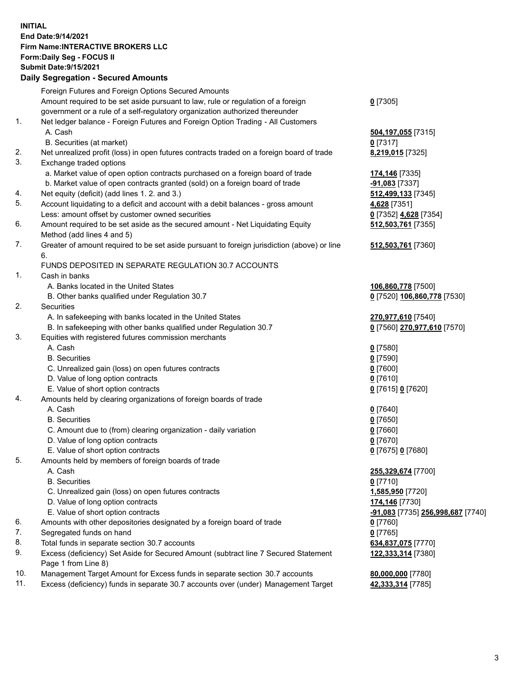**INITIAL End Date:9/14/2021 Firm Name:INTERACTIVE BROKERS LLC Form:Daily Seg - FOCUS II Submit Date:9/15/2021 Daily Segregation - Secured Amounts**

## Foreign Futures and Foreign Options Secured Amounts Amount required to be set aside pursuant to law, rule or regulation of a foreign government or a rule of a self-regulatory organization authorized thereunder **0** [7305] 1. Net ledger balance - Foreign Futures and Foreign Option Trading - All Customers A. Cash **504,197,055** [7315] B. Securities (at market) **0** [7317] 2. Net unrealized profit (loss) in open futures contracts traded on a foreign board of trade **8,219,015** [7325] 3. Exchange traded options a. Market value of open option contracts purchased on a foreign board of trade **174,146** [7335] b. Market value of open contracts granted (sold) on a foreign board of trade **-91,083** [7337] 4. Net equity (deficit) (add lines 1. 2. and 3.) **512,499,133** [7345] 5. Account liquidating to a deficit and account with a debit balances - gross amount **4,628** [7351] Less: amount offset by customer owned securities **0** [7352] **4,628** [7354] 6. Amount required to be set aside as the secured amount - Net Liquidating Equity Method (add lines 4 and 5) **512,503,761** [7355] 7. Greater of amount required to be set aside pursuant to foreign jurisdiction (above) or line 6. **512,503,761** [7360] FUNDS DEPOSITED IN SEPARATE REGULATION 30.7 ACCOUNTS 1. Cash in banks A. Banks located in the United States **106,860,778** [7500] B. Other banks qualified under Regulation 30.7 **0** [7520] **106,860,778** [7530] 2. Securities A. In safekeeping with banks located in the United States **270,977,610** [7540] B. In safekeeping with other banks qualified under Regulation 30.7 **0** [7560] **270,977,610** [7570] 3. Equities with registered futures commission merchants A. Cash **0** [7580] B. Securities **0** [7590] C. Unrealized gain (loss) on open futures contracts **0** [7600] D. Value of long option contracts **0** [7610] E. Value of short option contracts **0** [7615] **0** [7620] 4. Amounts held by clearing organizations of foreign boards of trade A. Cash **0** [7640] B. Securities **0** [7650] C. Amount due to (from) clearing organization - daily variation **0** [7660] D. Value of long option contracts **0** [7670] E. Value of short option contracts **0** [7675] **0** [7680] 5. Amounts held by members of foreign boards of trade A. Cash **255,329,674** [7700] B. Securities **0** [7710] C. Unrealized gain (loss) on open futures contracts **1,585,950** [7720] D. Value of long option contracts **174,146** [7730] E. Value of short option contracts **-91,083** [7735] **256,998,687** [7740] 6. Amounts with other depositories designated by a foreign board of trade **0** [7760] 7. Segregated funds on hand **0** [7765] 8. Total funds in separate section 30.7 accounts **634,837,075** [7770] 9. Excess (deficiency) Set Aside for Secured Amount (subtract line 7 Secured Statement Page 1 from Line 8) **122,333,314** [7380] 10. Management Target Amount for Excess funds in separate section 30.7 accounts **80,000,000** [7780] 11. Excess (deficiency) funds in separate 30.7 accounts over (under) Management Target **42,333,314** [7785]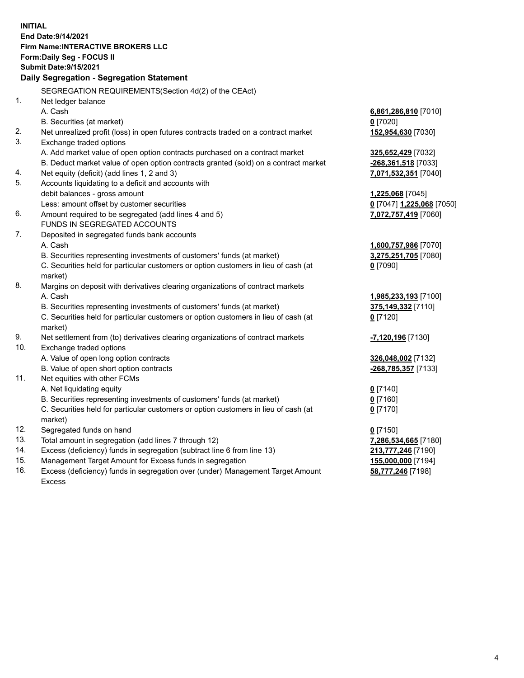**INITIAL End Date:9/14/2021 Firm Name:INTERACTIVE BROKERS LLC Form:Daily Seg - FOCUS II Submit Date:9/15/2021 Daily Segregation - Segregation Statement** SEGREGATION REQUIREMENTS(Section 4d(2) of the CEAct) 1. Net ledger balance A. Cash **6,861,286,810** [7010] B. Securities (at market) **0** [7020] 2. Net unrealized profit (loss) in open futures contracts traded on a contract market **152,954,630** [7030] 3. Exchange traded options A. Add market value of open option contracts purchased on a contract market **325,652,429** [7032] B. Deduct market value of open option contracts granted (sold) on a contract market **-268,361,518** [7033] 4. Net equity (deficit) (add lines 1, 2 and 3) **7,071,532,351** [7040] 5. Accounts liquidating to a deficit and accounts with debit balances - gross amount **1,225,068** [7045] Less: amount offset by customer securities **0** [7047] **1,225,068** [7050] 6. Amount required to be segregated (add lines 4 and 5) **7,072,757,419** [7060] FUNDS IN SEGREGATED ACCOUNTS 7. Deposited in segregated funds bank accounts A. Cash **1,600,757,986** [7070] B. Securities representing investments of customers' funds (at market) **3,275,251,705** [7080] C. Securities held for particular customers or option customers in lieu of cash (at market) **0** [7090] 8. Margins on deposit with derivatives clearing organizations of contract markets A. Cash **1,985,233,193** [7100] B. Securities representing investments of customers' funds (at market) **375,149,332** [7110] C. Securities held for particular customers or option customers in lieu of cash (at market) **0** [7120] 9. Net settlement from (to) derivatives clearing organizations of contract markets **-7,120,196** [7130] 10. Exchange traded options A. Value of open long option contracts **326,048,002** [7132] B. Value of open short option contracts **-268,785,357** [7133] 11. Net equities with other FCMs A. Net liquidating equity **0** [7140] B. Securities representing investments of customers' funds (at market) **0** [7160] C. Securities held for particular customers or option customers in lieu of cash (at market) **0** [7170] 12. Segregated funds on hand **0** [7150] 13. Total amount in segregation (add lines 7 through 12) **7,286,534,665** [7180] 14. Excess (deficiency) funds in segregation (subtract line 6 from line 13) **213,777,246** [7190] 15. Management Target Amount for Excess funds in segregation **155,000,000** [7194]

16. Excess (deficiency) funds in segregation over (under) Management Target Amount Excess

**58,777,246** [7198]